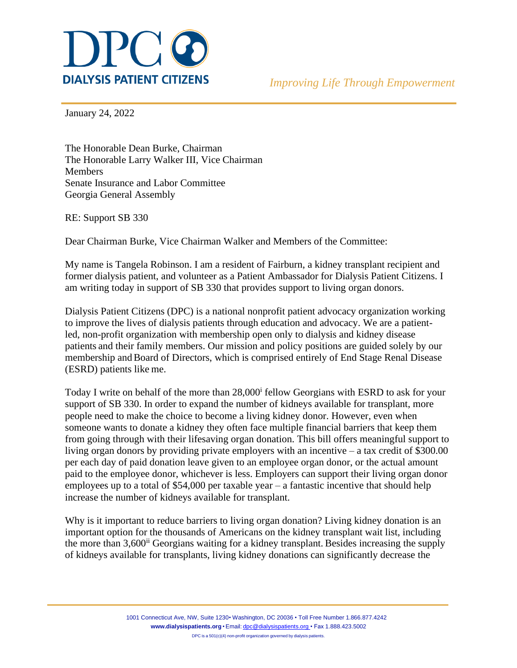

January 24, 2022

The Honorable Dean Burke, Chairman The Honorable Larry Walker III, Vice Chairman **Members** Senate Insurance and Labor Committee Georgia General Assembly

RE: Support SB 330

Dear Chairman Burke, Vice Chairman Walker and Members of the Committee:

My name is Tangela Robinson. I am a resident of Fairburn, a kidney transplant recipient and former dialysis patient, and volunteer as a Patient Ambassador for Dialysis Patient Citizens. I am writing today in support of SB 330 that provides support to living organ donors.

Dialysis Patient Citizens (DPC) is a national nonprofit patient advocacy organization working to improve the lives of dialysis patients through education and advocacy. We are a patientled, non-profit organization with membership open only to dialysis and kidney disease patients and their family members. Our mission and policy positions are guided solely by our membership and Board of Directors, which is comprised entirely of End Stage Renal Disease (ESRD) patients like me.

Today I write on behalf of the more than 28,000<sup>i</sup> fellow Georgians with ESRD to ask for your support of SB 330. In order to expand the number of kidneys available for transplant, more people need to make the choice to become a living kidney donor. However, even when someone wants to donate a kidney they often face multiple financial barriers that keep them from going through with their lifesaving organ donation. This bill offers meaningful support to living organ donors by providing private employers with an incentive – a tax credit of \$300.00 per each day of paid donation leave given to an employee organ donor, or the actual amount paid to the employee donor, whichever is less. Employers can support their living organ donor employees up to a total of \$54,000 per taxable year – a fantastic incentive that should help increase the number of kidneys available for transplant.

Why is it important to reduce barriers to living organ donation? Living kidney donation is an important option for the thousands of Americans on the kidney transplant wait list, including the more than 3,600<sup>ii</sup> Georgians waiting for a kidney transplant. Besides increasing the supply of kidneys available for transplants, living kidney donations can significantly decrease the